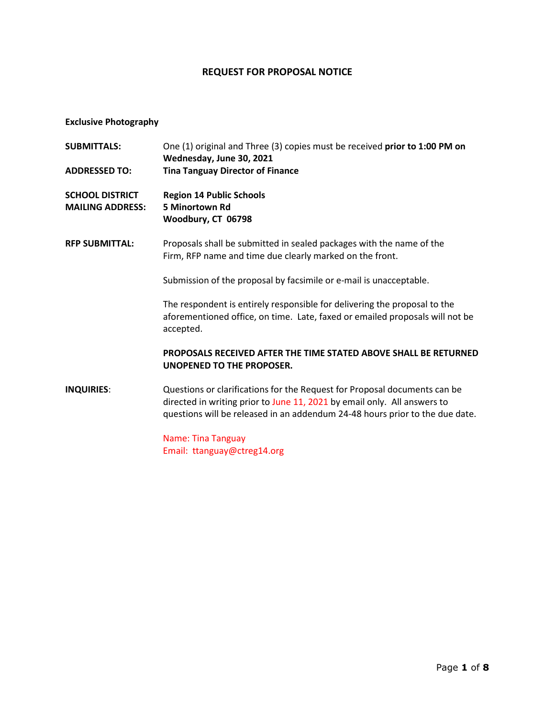## **REQUEST FOR PROPOSAL NOTICE**

# **Exclusive Photography**

| <b>SUBMITTALS:</b><br><b>ADDRESSED TO:</b>        | One (1) original and Three (3) copies must be received prior to 1:00 PM on<br>Wednesday, June 30, 2021<br><b>Tina Tanguay Director of Finance</b>                                                                                     |
|---------------------------------------------------|---------------------------------------------------------------------------------------------------------------------------------------------------------------------------------------------------------------------------------------|
| <b>SCHOOL DISTRICT</b><br><b>MAILING ADDRESS:</b> | <b>Region 14 Public Schools</b><br>5 Minortown Rd<br>Woodbury, CT 06798                                                                                                                                                               |
| <b>RFP SUBMITTAL:</b>                             | Proposals shall be submitted in sealed packages with the name of the<br>Firm, RFP name and time due clearly marked on the front.                                                                                                      |
|                                                   | Submission of the proposal by facsimile or e-mail is unacceptable.                                                                                                                                                                    |
|                                                   | The respondent is entirely responsible for delivering the proposal to the<br>aforementioned office, on time. Late, faxed or emailed proposals will not be<br>accepted.                                                                |
|                                                   | <b>PROPOSALS RECEIVED AFTER THE TIME STATED ABOVE SHALL BE RETURNED</b><br>UNOPENED TO THE PROPOSER.                                                                                                                                  |
| <b>INQUIRIES:</b>                                 | Questions or clarifications for the Request for Proposal documents can be<br>directed in writing prior to June 11, 2021 by email only. All answers to<br>questions will be released in an addendum 24-48 hours prior to the due date. |
|                                                   | <b>Name: Tina Tanguay</b><br>Email: ttanguay@ctreg14.org                                                                                                                                                                              |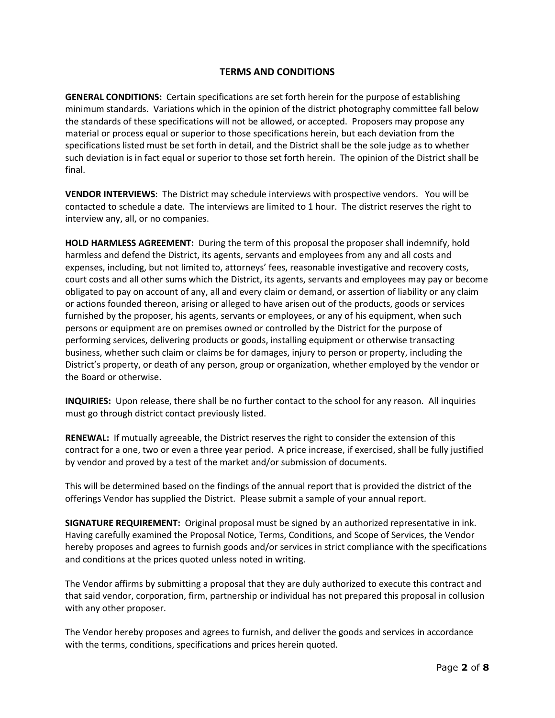## **TERMS AND CONDITIONS**

**GENERAL CONDITIONS:** Certain specifications are set forth herein for the purpose of establishing minimum standards. Variations which in the opinion of the district photography committee fall below the standards of these specifications will not be allowed, or accepted. Proposers may propose any material or process equal or superior to those specifications herein, but each deviation from the specifications listed must be set forth in detail, and the District shall be the sole judge as to whether such deviation is in fact equal or superior to those set forth herein. The opinion of the District shall be final.

**VENDOR INTERVIEWS**: The District may schedule interviews with prospective vendors. You will be contacted to schedule a date. The interviews are limited to 1 hour. The district reserves the right to interview any, all, or no companies.

**HOLD HARMLESS AGREEMENT:** During the term of this proposal the proposer shall indemnify, hold harmless and defend the District, its agents, servants and employees from any and all costs and expenses, including, but not limited to, attorneys' fees, reasonable investigative and recovery costs, court costs and all other sums which the District, its agents, servants and employees may pay or become obligated to pay on account of any, all and every claim or demand, or assertion of liability or any claim or actions founded thereon, arising or alleged to have arisen out of the products, goods or services furnished by the proposer, his agents, servants or employees, or any of his equipment, when such persons or equipment are on premises owned or controlled by the District for the purpose of performing services, delivering products or goods, installing equipment or otherwise transacting business, whether such claim or claims be for damages, injury to person or property, including the District's property, or death of any person, group or organization, whether employed by the vendor or the Board or otherwise.

**INQUIRIES:** Upon release, there shall be no further contact to the school for any reason. All inquiries must go through district contact previously listed.

**RENEWAL:** If mutually agreeable, the District reserves the right to consider the extension of this contract for a one, two or even a three year period. A price increase, if exercised, shall be fully justified by vendor and proved by a test of the market and/or submission of documents.

This will be determined based on the findings of the annual report that is provided the district of the offerings Vendor has supplied the District. Please submit a sample of your annual report.

**SIGNATURE REQUIREMENT:** Original proposal must be signed by an authorized representative in ink. Having carefully examined the Proposal Notice, Terms, Conditions, and Scope of Services, the Vendor hereby proposes and agrees to furnish goods and/or services in strict compliance with the specifications and conditions at the prices quoted unless noted in writing.

The Vendor affirms by submitting a proposal that they are duly authorized to execute this contract and that said vendor, corporation, firm, partnership or individual has not prepared this proposal in collusion with any other proposer.

The Vendor hereby proposes and agrees to furnish, and deliver the goods and services in accordance with the terms, conditions, specifications and prices herein quoted.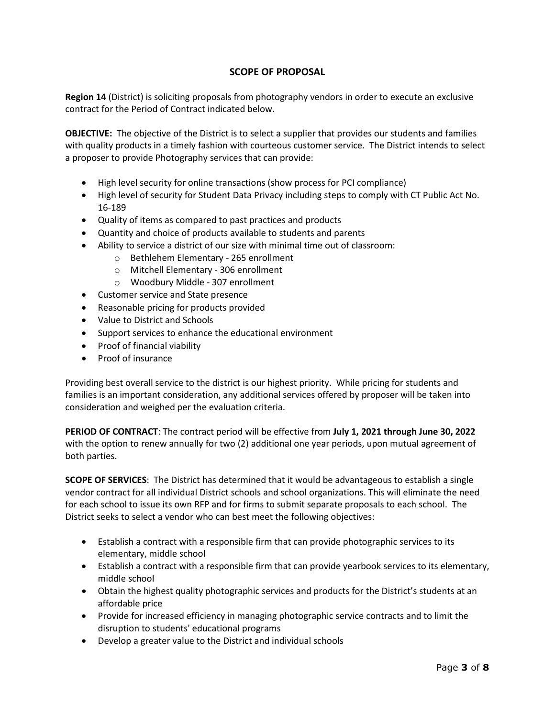## **SCOPE OF PROPOSAL**

**Region 14** (District) is soliciting proposals from photography vendors in order to execute an exclusive contract for the Period of Contract indicated below.

**OBJECTIVE:** The objective of the District is to select a supplier that provides our students and families with quality products in a timely fashion with courteous customer service. The District intends to select a proposer to provide Photography services that can provide:

- High level security for online transactions (show process for PCI compliance)
- High level of security for Student Data Privacy including steps to comply with CT Public Act No. 16-189
- Quality of items as compared to past practices and products
- Quantity and choice of products available to students and parents
- Ability to service a district of our size with minimal time out of classroom:
	- o Bethlehem Elementary 265 enrollment
	- o Mitchell Elementary 306 enrollment
	- o Woodbury Middle 307 enrollment
- Customer service and State presence
- Reasonable pricing for products provided
- Value to District and Schools
- Support services to enhance the educational environment
- Proof of financial viability
- Proof of insurance

Providing best overall service to the district is our highest priority. While pricing for students and families is an important consideration, any additional services offered by proposer will be taken into consideration and weighed per the evaluation criteria.

**PERIOD OF CONTRACT**: The contract period will be effective from **July 1, 2021 through June 30, 2022** with the option to renew annually for two (2) additional one year periods, upon mutual agreement of both parties.

**SCOPE OF SERVICES**: The District has determined that it would be advantageous to establish a single vendor contract for all individual District schools and school organizations. This will eliminate the need for each school to issue its own RFP and for firms to submit separate proposals to each school. The District seeks to select a vendor who can best meet the following objectives:

- Establish a contract with a responsible firm that can provide photographic services to its elementary, middle school
- Establish a contract with a responsible firm that can provide yearbook services to its elementary, middle school
- Obtain the highest quality photographic services and products for the District's students at an affordable price
- Provide for increased efficiency in managing photographic service contracts and to limit the disruption to students' educational programs
- Develop a greater value to the District and individual schools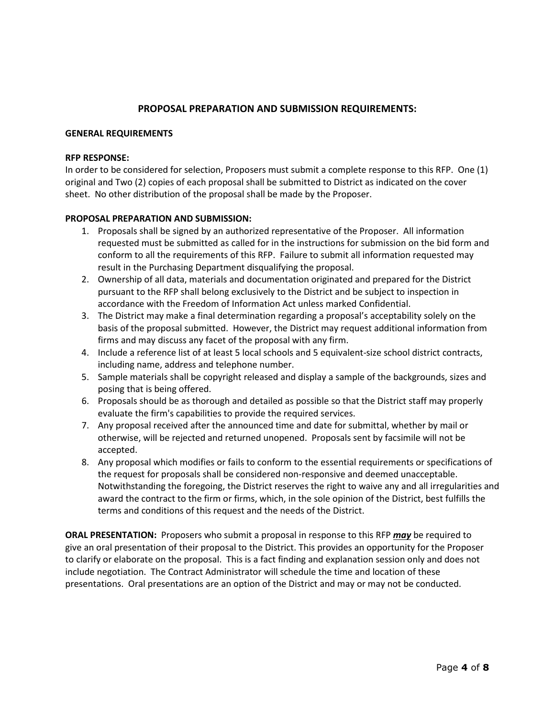### **PROPOSAL PREPARATION AND SUBMISSION REQUIREMENTS:**

#### **GENERAL REQUIREMENTS**

#### **RFP RESPONSE:**

In order to be considered for selection, Proposers must submit a complete response to this RFP. One (1) original and Two (2) copies of each proposal shall be submitted to District as indicated on the cover sheet. No other distribution of the proposal shall be made by the Proposer.

### **PROPOSAL PREPARATION AND SUBMISSION:**

- 1. Proposals shall be signed by an authorized representative of the Proposer. All information requested must be submitted as called for in the instructions for submission on the bid form and conform to all the requirements of this RFP. Failure to submit all information requested may result in the Purchasing Department disqualifying the proposal.
- 2. Ownership of all data, materials and documentation originated and prepared for the District pursuant to the RFP shall belong exclusively to the District and be subject to inspection in accordance with the Freedom of Information Act unless marked Confidential.
- 3. The District may make a final determination regarding a proposal's acceptability solely on the basis of the proposal submitted. However, the District may request additional information from firms and may discuss any facet of the proposal with any firm.
- 4. Include a reference list of at least 5 local schools and 5 equivalent-size school district contracts, including name, address and telephone number.
- 5. Sample materials shall be copyright released and display a sample of the backgrounds, sizes and posing that is being offered.
- 6. Proposals should be as thorough and detailed as possible so that the District staff may properly evaluate the firm's capabilities to provide the required services.
- 7. Any proposal received after the announced time and date for submittal, whether by mail or otherwise, will be rejected and returned unopened. Proposals sent by facsimile will not be accepted.
- 8. Any proposal which modifies or fails to conform to the essential requirements or specifications of the request for proposals shall be considered non-responsive and deemed unacceptable. Notwithstanding the foregoing, the District reserves the right to waive any and all irregularities and award the contract to the firm or firms, which, in the sole opinion of the District, best fulfills the terms and conditions of this request and the needs of the District.

**ORAL PRESENTATION:** Proposers who submit a proposal in response to this RFP *may* be required to give an oral presentation of their proposal to the District. This provides an opportunity for the Proposer to clarify or elaborate on the proposal. This is a fact finding and explanation session only and does not include negotiation. The Contract Administrator will schedule the time and location of these presentations. Oral presentations are an option of the District and may or may not be conducted.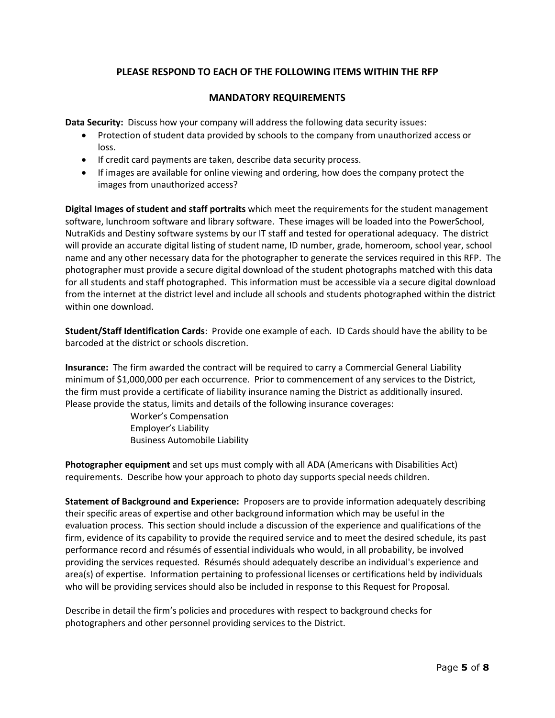## **PLEASE RESPOND TO EACH OF THE FOLLOWING ITEMS WITHIN THE RFP**

### **MANDATORY REQUIREMENTS**

**Data Security:** Discuss how your company will address the following data security issues:

- Protection of student data provided by schools to the company from unauthorized access or loss.
- If credit card payments are taken, describe data security process.
- If images are available for online viewing and ordering, how does the company protect the images from unauthorized access?

**Digital Images of student and staff portraits** which meet the requirements for the student management software, lunchroom software and library software. These images will be loaded into the PowerSchool, NutraKids and Destiny software systems by our IT staff and tested for operational adequacy. The district will provide an accurate digital listing of student name, ID number, grade, homeroom, school year, school name and any other necessary data for the photographer to generate the services required in this RFP. The photographer must provide a secure digital download of the student photographs matched with this data for all students and staff photographed. This information must be accessible via a secure digital download from the internet at the district level and include all schools and students photographed within the district within one download.

**Student/Staff Identification Cards**: Provide one example of each. ID Cards should have the ability to be barcoded at the district or schools discretion.

**Insurance:** The firm awarded the contract will be required to carry a Commercial General Liability minimum of \$1,000,000 per each occurrence. Prior to commencement of any services to the District, the firm must provide a certificate of liability insurance naming the District as additionally insured. Please provide the status, limits and details of the following insurance coverages:

> Worker's Compensation Employer's Liability Business Automobile Liability

**Photographer equipment** and set ups must comply with all ADA (Americans with Disabilities Act) requirements. Describe how your approach to photo day supports special needs children.

**Statement of Background and Experience:** Proposers are to provide information adequately describing their specific areas of expertise and other background information which may be useful in the evaluation process. This section should include a discussion of the experience and qualifications of the firm, evidence of its capability to provide the required service and to meet the desired schedule, its past performance record and résumés of essential individuals who would, in all probability, be involved providing the services requested. Résumés should adequately describe an individual's experience and area(s) of expertise. Information pertaining to professional licenses or certifications held by individuals who will be providing services should also be included in response to this Request for Proposal.

Describe in detail the firm's policies and procedures with respect to background checks for photographers and other personnel providing services to the District.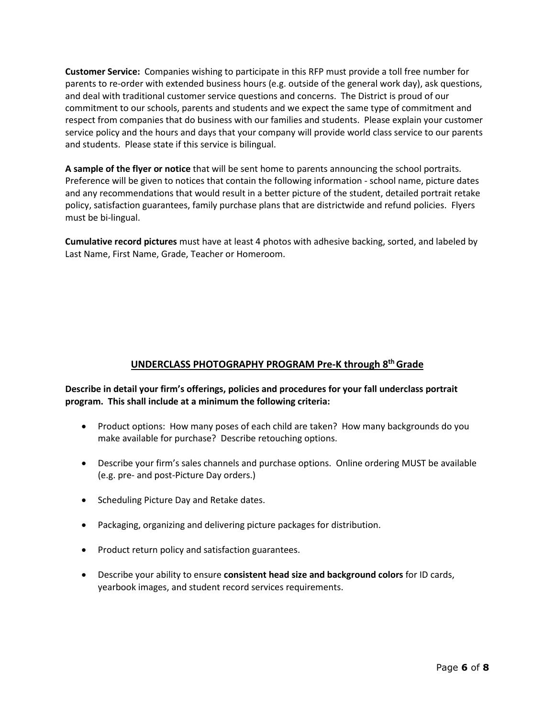**Customer Service:** Companies wishing to participate in this RFP must provide a toll free number for parents to re-order with extended business hours (e.g. outside of the general work day), ask questions, and deal with traditional customer service questions and concerns. The District is proud of our commitment to our schools, parents and students and we expect the same type of commitment and respect from companies that do business with our families and students. Please explain your customer service policy and the hours and days that your company will provide world class service to our parents and students. Please state if this service is bilingual.

**A sample of the flyer or notice** that will be sent home to parents announcing the school portraits. Preference will be given to notices that contain the following information - school name, picture dates and any recommendations that would result in a better picture of the student, detailed portrait retake policy, satisfaction guarantees, family purchase plans that are districtwide and refund policies. Flyers must be bi-lingual.

**Cumulative record pictures** must have at least 4 photos with adhesive backing, sorted, and labeled by Last Name, First Name, Grade, Teacher or Homeroom.

## **UNDERCLASS PHOTOGRAPHY PROGRAM Pre-K through 8th Grade**

**Describe in detail your firm's offerings, policies and procedures for your fall underclass portrait program. This shall include at a minimum the following criteria:**

- Product options: How many poses of each child are taken? How many backgrounds do you make available for purchase? Describe retouching options.
- Describe your firm's sales channels and purchase options. Online ordering MUST be available (e.g. pre- and post-Picture Day orders.)
- Scheduling Picture Day and Retake dates.
- Packaging, organizing and delivering picture packages for distribution.
- Product return policy and satisfaction guarantees.
- Describe your ability to ensure **consistent head size and background colors** for ID cards, yearbook images, and student record services requirements.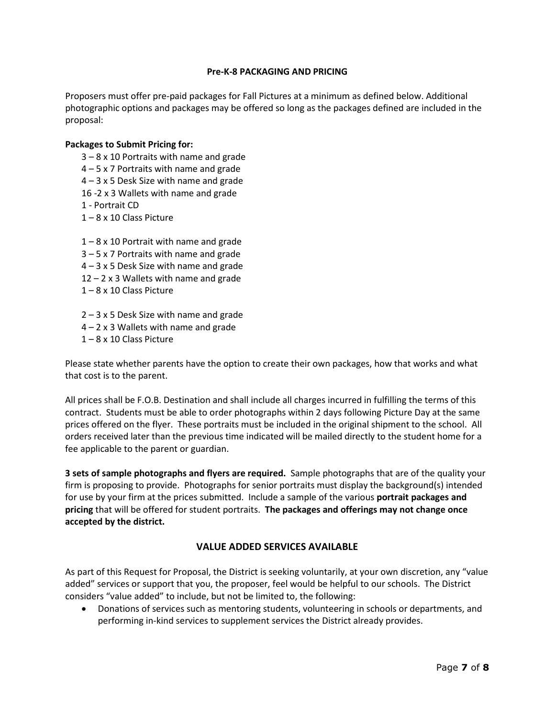### **Pre-K-8 PACKAGING AND PRICING**

Proposers must offer pre-paid packages for Fall Pictures at a minimum as defined below. Additional photographic options and packages may be offered so long as the packages defined are included in the proposal:

### **Packages to Submit Pricing for:**

- 3 8 x 10 Portraits with name and grade
- 4 5 x 7 Portraits with name and grade
- 4 3 x 5 Desk Size with name and grade
- 16 -2 x 3 Wallets with name and grade
- 1 Portrait CD
- 1 8 x 10 Class Picture

1 – 8 x 10 Portrait with name and grade 3 – 5 x 7 Portraits with name and grade 4 – 3 x 5 Desk Size with name and grade  $12 - 2 \times 3$  Wallets with name and grade 1 – 8 x 10 Class Picture

2 – 3 x 5 Desk Size with name and grade

- $4 2 \times 3$  Wallets with name and grade
- 1 8 x 10 Class Picture

Please state whether parents have the option to create their own packages, how that works and what that cost is to the parent.

All prices shall be F.O.B. Destination and shall include all charges incurred in fulfilling the terms of this contract. Students must be able to order photographs within 2 days following Picture Day at the same prices offered on the flyer. These portraits must be included in the original shipment to the school. All orders received later than the previous time indicated will be mailed directly to the student home for a fee applicable to the parent or guardian.

**3 sets of sample photographs and flyers are required.** Sample photographs that are of the quality your firm is proposing to provide. Photographs for senior portraits must display the background(s) intended for use by your firm at the prices submitted. Include a sample of the various **portrait packages and pricing** that will be offered for student portraits. **The packages and offerings may not change once accepted by the district.**

### **VALUE ADDED SERVICES AVAILABLE**

As part of this Request for Proposal, the District is seeking voluntarily, at your own discretion, any "value added" services or support that you, the proposer, feel would be helpful to our schools. The District considers "value added" to include, but not be limited to, the following:

• Donations of services such as mentoring students, volunteering in schools or departments, and performing in-kind services to supplement services the District already provides.